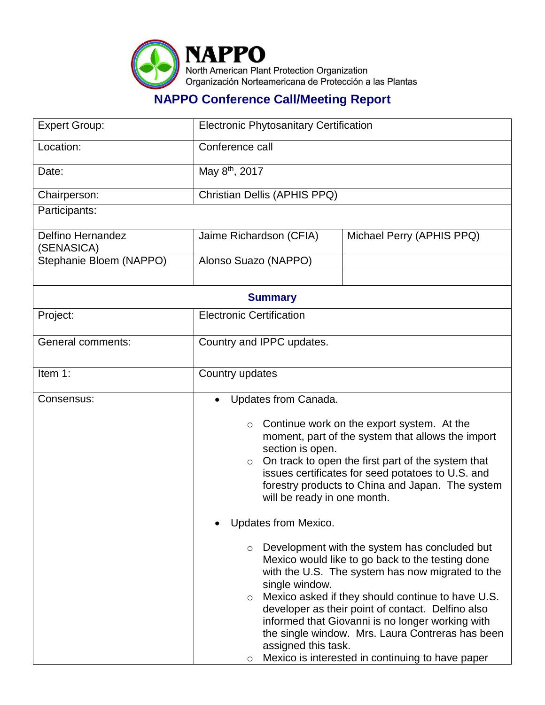

## **NAPPO Conference Call/Meeting Report**

| <b>Expert Group:</b>            | <b>Electronic Phytosanitary Certification</b>                                                                                                                                                                                                                                                                                                                                                                                                                                                         |  |  |  |
|---------------------------------|-------------------------------------------------------------------------------------------------------------------------------------------------------------------------------------------------------------------------------------------------------------------------------------------------------------------------------------------------------------------------------------------------------------------------------------------------------------------------------------------------------|--|--|--|
| Location:                       | Conference call                                                                                                                                                                                                                                                                                                                                                                                                                                                                                       |  |  |  |
| Date:                           | May 8 <sup>th</sup> , 2017                                                                                                                                                                                                                                                                                                                                                                                                                                                                            |  |  |  |
| Chairperson:                    | Christian Dellis (APHIS PPQ)                                                                                                                                                                                                                                                                                                                                                                                                                                                                          |  |  |  |
| Participants:                   |                                                                                                                                                                                                                                                                                                                                                                                                                                                                                                       |  |  |  |
| Delfino Hernandez<br>(SENASICA) | Michael Perry (APHIS PPQ)<br>Jaime Richardson (CFIA)                                                                                                                                                                                                                                                                                                                                                                                                                                                  |  |  |  |
| Stephanie Bloem (NAPPO)         | Alonso Suazo (NAPPO)                                                                                                                                                                                                                                                                                                                                                                                                                                                                                  |  |  |  |
|                                 |                                                                                                                                                                                                                                                                                                                                                                                                                                                                                                       |  |  |  |
| <b>Summary</b>                  |                                                                                                                                                                                                                                                                                                                                                                                                                                                                                                       |  |  |  |
| Project:                        | <b>Electronic Certification</b>                                                                                                                                                                                                                                                                                                                                                                                                                                                                       |  |  |  |
| <b>General comments:</b>        | Country and IPPC updates.                                                                                                                                                                                                                                                                                                                                                                                                                                                                             |  |  |  |
| Item 1:                         | Country updates                                                                                                                                                                                                                                                                                                                                                                                                                                                                                       |  |  |  |
| Consensus:                      | Updates from Canada.                                                                                                                                                                                                                                                                                                                                                                                                                                                                                  |  |  |  |
|                                 | Continue work on the export system. At the<br>$\circ$<br>moment, part of the system that allows the import<br>section is open.<br>On track to open the first part of the system that<br>$\circ$<br>issues certificates for seed potatoes to U.S. and<br>forestry products to China and Japan. The system<br>will be ready in one month.                                                                                                                                                               |  |  |  |
|                                 | Updates from Mexico.                                                                                                                                                                                                                                                                                                                                                                                                                                                                                  |  |  |  |
|                                 | Development with the system has concluded but<br>$\circ$<br>Mexico would like to go back to the testing done<br>with the U.S. The system has now migrated to the<br>single window.<br>Mexico asked if they should continue to have U.S.<br>$\circ$<br>developer as their point of contact. Delfino also<br>informed that Giovanni is no longer working with<br>the single window. Mrs. Laura Contreras has been<br>assigned this task.<br>Mexico is interested in continuing to have paper<br>$\circ$ |  |  |  |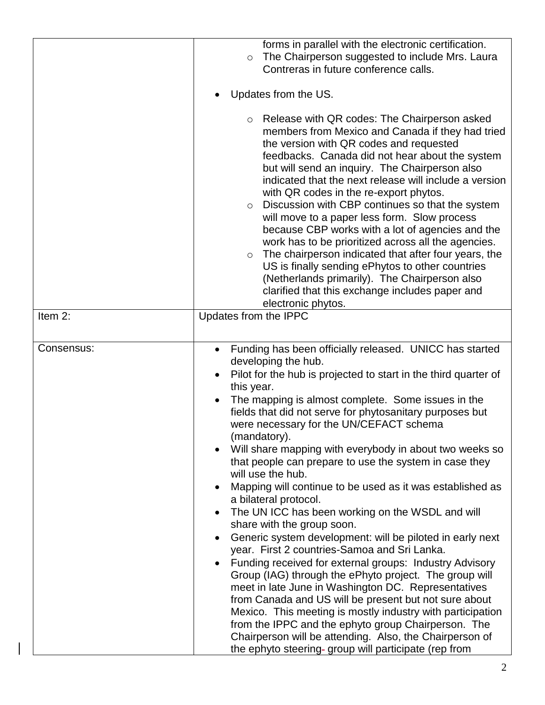|            | forms in parallel with the electronic certification.<br>The Chairperson suggested to include Mrs. Laura<br>$\circ$<br>Contreras in future conference calls.<br>Updates from the US.<br>Release with QR codes: The Chairperson asked<br>$\circ$<br>members from Mexico and Canada if they had tried<br>the version with QR codes and requested<br>feedbacks. Canada did not hear about the system<br>but will send an inquiry. The Chairperson also<br>indicated that the next release will include a version<br>with QR codes in the re-export phytos.<br>Discussion with CBP continues so that the system<br>$\circ$<br>will move to a paper less form. Slow process<br>because CBP works with a lot of agencies and the<br>work has to be prioritized across all the agencies.<br>The chairperson indicated that after four years, the<br>$\circ$<br>US is finally sending ePhytos to other countries<br>(Netherlands primarily). The Chairperson also<br>clarified that this exchange includes paper and<br>electronic phytos.                                                                                                                                                                                                                         |
|------------|-----------------------------------------------------------------------------------------------------------------------------------------------------------------------------------------------------------------------------------------------------------------------------------------------------------------------------------------------------------------------------------------------------------------------------------------------------------------------------------------------------------------------------------------------------------------------------------------------------------------------------------------------------------------------------------------------------------------------------------------------------------------------------------------------------------------------------------------------------------------------------------------------------------------------------------------------------------------------------------------------------------------------------------------------------------------------------------------------------------------------------------------------------------------------------------------------------------------------------------------------------------|
| Item 2:    | Updates from the IPPC                                                                                                                                                                                                                                                                                                                                                                                                                                                                                                                                                                                                                                                                                                                                                                                                                                                                                                                                                                                                                                                                                                                                                                                                                                     |
| Consensus: | Funding has been officially released. UNICC has started<br>developing the hub.<br>Pilot for the hub is projected to start in the third quarter of<br>this year.<br>The mapping is almost complete. Some issues in the<br>fields that did not serve for phytosanitary purposes but<br>were necessary for the UN/CEFACT schema<br>(mandatory).<br>Will share mapping with everybody in about two weeks so<br>that people can prepare to use the system in case they<br>will use the hub.<br>Mapping will continue to be used as it was established as<br>a bilateral protocol.<br>The UN ICC has been working on the WSDL and will<br>share with the group soon.<br>Generic system development: will be piloted in early next<br>year. First 2 countries-Samoa and Sri Lanka.<br>Funding received for external groups: Industry Advisory<br>Group (IAG) through the ePhyto project. The group will<br>meet in late June in Washington DC. Representatives<br>from Canada and US will be present but not sure about<br>Mexico. This meeting is mostly industry with participation<br>from the IPPC and the ephyto group Chairperson. The<br>Chairperson will be attending. Also, the Chairperson of<br>the ephyto steering- group will participate (rep from |